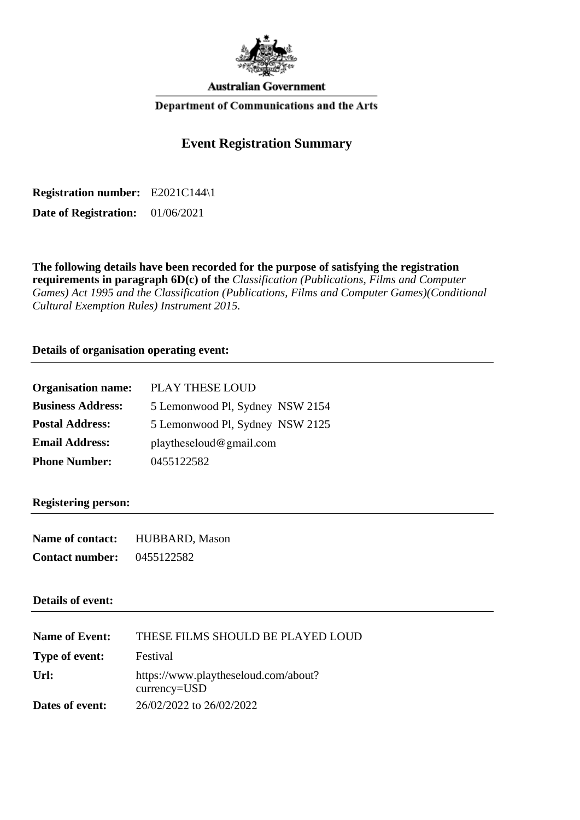

**Australian Government** 

#### Department of Communications and the Arts

# **Event Registration Summary**

**Registration number:** E2021C144\1

**Date of Registration:** 01/06/2021

**The following details have been recorded for the purpose of satisfying the registration requirements in paragraph 6D(c) of the** *Classification (Publications, Films and Computer Games) Act 1995 and the Classification (Publications, Films and Computer Games)(Conditional Cultural Exemption Rules) Instrument 2015.*

**Details of organisation operating event:**

| <b>Organisation name:</b> | PLAY THESE LOUD                 |  |
|---------------------------|---------------------------------|--|
| <b>Business Address:</b>  | 5 Lemonwood Pl, Sydney NSW 2154 |  |
| <b>Postal Address:</b>    | 5 Lemonwood Pl, Sydney NSW 2125 |  |
| <b>Email Address:</b>     | play the seldom @ gmail.com     |  |
| <b>Phone Number:</b>      | 0455122582                      |  |

#### **Registering person:**

| Name of contact:       | HUBBARD, Mason |
|------------------------|----------------|
| <b>Contact number:</b> | 0455122582     |

#### **Details of event:**

| <b>Name of Event:</b> | THESE FILMS SHOULD BE PLAYED LOUD                    |
|-----------------------|------------------------------------------------------|
| Type of event:        | Festival                                             |
| $U$ rl:               | https://www.playtheseloud.com/about?<br>currency=USD |
| Dates of event:       | 26/02/2022 to 26/02/2022                             |